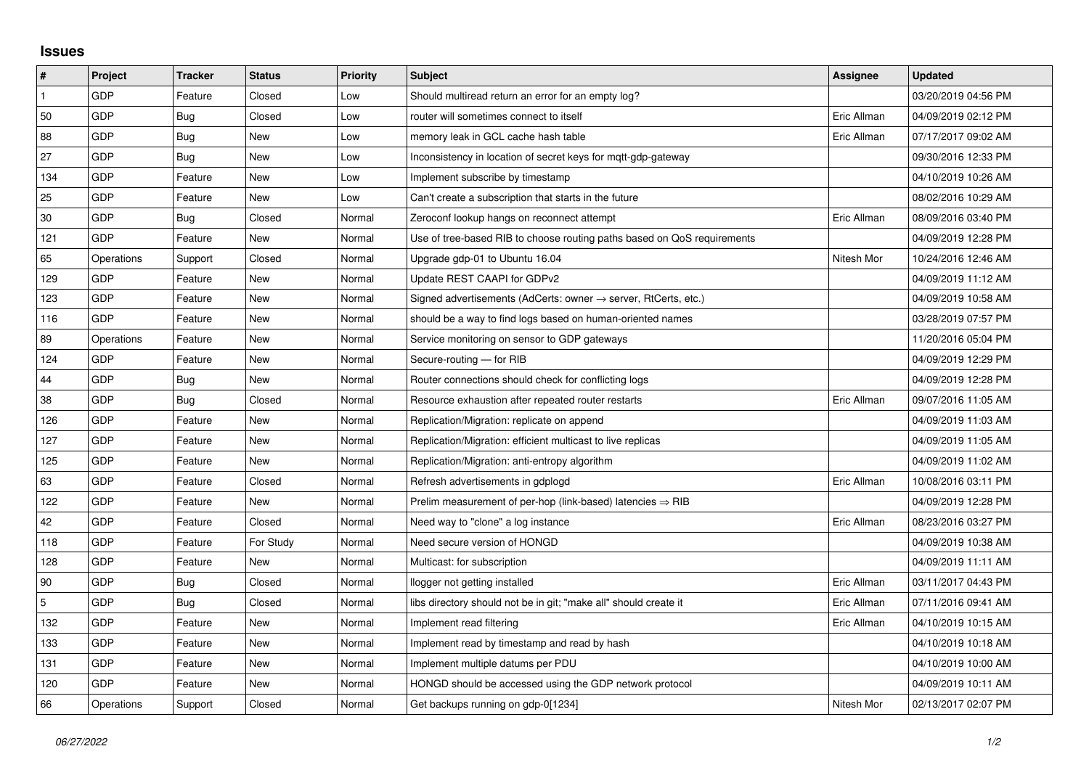## **Issues**

| $\vert$ #      | Project    | <b>Tracker</b> | <b>Status</b> | <b>Priority</b> | <b>Subject</b>                                                             | Assignee    | <b>Updated</b>      |
|----------------|------------|----------------|---------------|-----------------|----------------------------------------------------------------------------|-------------|---------------------|
| $\mathbf{1}$   | GDP        | Feature        | Closed        | Low             | Should multiread return an error for an empty log?                         |             | 03/20/2019 04:56 PM |
| 50             | GDP        | Bug            | Closed        | Low             | router will sometimes connect to itself                                    | Eric Allman | 04/09/2019 02:12 PM |
| 88             | GDP        | Bug            | New           | Low             | memory leak in GCL cache hash table                                        | Eric Allman | 07/17/2017 09:02 AM |
| 27             | GDP        | Bug            | New           | Low             | Inconsistency in location of secret keys for mqtt-gdp-gateway              |             | 09/30/2016 12:33 PM |
| 134            | GDP        | Feature        | New           | Low             | Implement subscribe by timestamp                                           |             | 04/10/2019 10:26 AM |
| 25             | GDP        | Feature        | New           | Low             | Can't create a subscription that starts in the future                      |             | 08/02/2016 10:29 AM |
| $30\,$         | GDP        | Bug            | Closed        | Normal          | Zeroconf lookup hangs on reconnect attempt                                 | Eric Allman | 08/09/2016 03:40 PM |
| 121            | GDP        | Feature        | New           | Normal          | Use of tree-based RIB to choose routing paths based on QoS requirements    |             | 04/09/2019 12:28 PM |
| 65             | Operations | Support        | Closed        | Normal          | Upgrade gdp-01 to Ubuntu 16.04                                             | Nitesh Mor  | 10/24/2016 12:46 AM |
| 129            | GDP        | Feature        | New           | Normal          | Update REST CAAPI for GDPv2                                                |             | 04/09/2019 11:12 AM |
| 123            | GDP        | Feature        | New           | Normal          | Signed advertisements (AdCerts: owner $\rightarrow$ server, RtCerts, etc.) |             | 04/09/2019 10:58 AM |
| 116            | GDP        | Feature        | New           | Normal          | should be a way to find logs based on human-oriented names                 |             | 03/28/2019 07:57 PM |
| 89             | Operations | Feature        | <b>New</b>    | Normal          | Service monitoring on sensor to GDP gateways                               |             | 11/20/2016 05:04 PM |
| 124            | GDP        | Feature        | New           | Normal          | Secure-routing - for RIB                                                   |             | 04/09/2019 12:29 PM |
| 44             | GDP        | Bug            | New           | Normal          | Router connections should check for conflicting logs                       |             | 04/09/2019 12:28 PM |
| 38             | GDP        | Bug            | Closed        | Normal          | Resource exhaustion after repeated router restarts                         | Eric Allman | 09/07/2016 11:05 AM |
| 126            | GDP        | Feature        | New           | Normal          | Replication/Migration: replicate on append                                 |             | 04/09/2019 11:03 AM |
| 127            | GDP        | Feature        | New           | Normal          | Replication/Migration: efficient multicast to live replicas                |             | 04/09/2019 11:05 AM |
| 125            | GDP        | Feature        | <b>New</b>    | Normal          | Replication/Migration: anti-entropy algorithm                              |             | 04/09/2019 11:02 AM |
| 63             | GDP        | Feature        | Closed        | Normal          | Refresh advertisements in gdplogd                                          | Eric Allman | 10/08/2016 03:11 PM |
| 122            | GDP        | Feature        | New           | Normal          | Prelim measurement of per-hop (link-based) latencies $\Rightarrow$ RIB     |             | 04/09/2019 12:28 PM |
| 42             | GDP        | Feature        | Closed        | Normal          | Need way to "clone" a log instance                                         | Eric Allman | 08/23/2016 03:27 PM |
| 118            | GDP        | Feature        | For Study     | Normal          | Need secure version of HONGD                                               |             | 04/09/2019 10:38 AM |
| 128            | GDP        | Feature        | New           | Normal          | Multicast: for subscription                                                |             | 04/09/2019 11:11 AM |
| 90             | GDP        | Bug            | Closed        | Normal          | llogger not getting installed                                              | Eric Allman | 03/11/2017 04:43 PM |
| $\overline{5}$ | GDP        | Bug            | Closed        | Normal          | libs directory should not be in git; "make all" should create it           | Eric Allman | 07/11/2016 09:41 AM |
| 132            | GDP        | Feature        | New           | Normal          | Implement read filtering                                                   | Eric Allman | 04/10/2019 10:15 AM |
| 133            | GDP        | Feature        | New           | Normal          | Implement read by timestamp and read by hash                               |             | 04/10/2019 10:18 AM |
| 131            | GDP        | Feature        | New           | Normal          | Implement multiple datums per PDU                                          |             | 04/10/2019 10:00 AM |
| 120            | GDP        | Feature        | New           | Normal          | HONGD should be accessed using the GDP network protocol                    |             | 04/09/2019 10:11 AM |
| 66             | Operations | Support        | Closed        | Normal          | Get backups running on gdp-0[1234]                                         | Nitesh Mor  | 02/13/2017 02:07 PM |